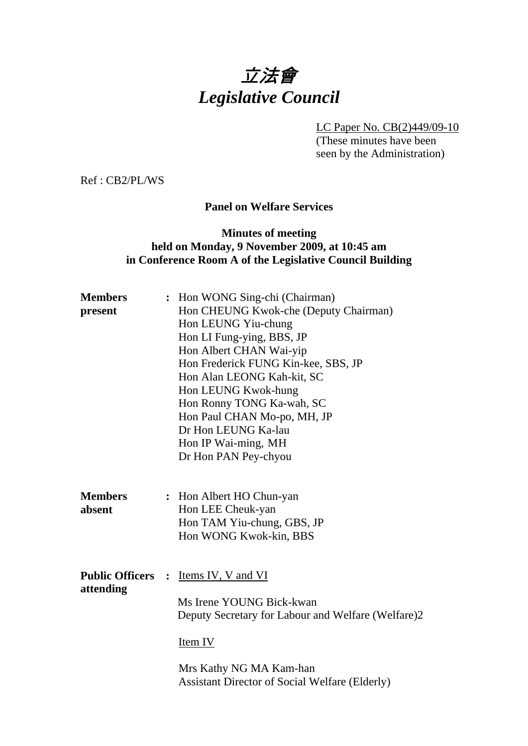# 立法會 *Legislative Council*

LC Paper No. CB(2)449/09-10

(These minutes have been seen by the Administration)

Ref : CB2/PL/WS

#### **Panel on Welfare Services**

#### **Minutes of meeting held on Monday, 9 November 2009, at 10:45 am in Conference Room A of the Legislative Council Building**

| <b>Members</b>           | : Hon WONG Sing-chi (Chairman)                     |
|--------------------------|----------------------------------------------------|
| present                  | Hon CHEUNG Kwok-che (Deputy Chairman)              |
|                          | Hon LEUNG Yiu-chung                                |
|                          | Hon LI Fung-ying, BBS, JP                          |
|                          | Hon Albert CHAN Wai-yip                            |
|                          | Hon Frederick FUNG Kin-kee, SBS, JP                |
|                          | Hon Alan LEONG Kah-kit, SC                         |
|                          | Hon LEUNG Kwok-hung                                |
|                          | Hon Ronny TONG Ka-wah, SC                          |
|                          | Hon Paul CHAN Mo-po, MH, JP                        |
|                          | Dr Hon LEUNG Ka-lau                                |
|                          | Hon IP Wai-ming, MH                                |
|                          | Dr Hon PAN Pey-chyou                               |
|                          |                                                    |
|                          |                                                    |
| <b>Members</b>           | : Hon Albert HO Chun-yan                           |
| absent                   | Hon LEE Cheuk-yan                                  |
|                          | Hon TAM Yiu-chung, GBS, JP                         |
|                          | Hon WONG Kwok-kin, BBS                             |
|                          |                                                    |
| <b>Public Officers :</b> |                                                    |
|                          | Items IV, V and VI                                 |
| attending                | Ms Irene YOUNG Bick-kwan                           |
|                          | Deputy Secretary for Labour and Welfare (Welfare)2 |
|                          |                                                    |
|                          | <u>Item IV</u>                                     |
|                          |                                                    |
|                          | Mrs Kathy NG MA Kam-han                            |

Assistant Director of Social Welfare (Elderly)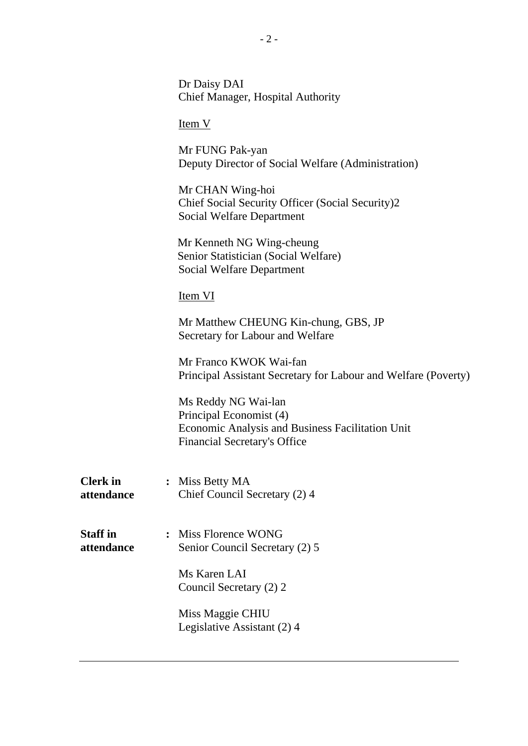|                               | Dr Daisy DAI<br><b>Chief Manager, Hospital Authority</b>                                                                                  |
|-------------------------------|-------------------------------------------------------------------------------------------------------------------------------------------|
|                               | Item V                                                                                                                                    |
|                               | Mr FUNG Pak-yan<br>Deputy Director of Social Welfare (Administration)                                                                     |
|                               | Mr CHAN Wing-hoi<br>Chief Social Security Officer (Social Security)2<br>Social Welfare Department                                         |
|                               | Mr Kenneth NG Wing-cheung<br>Senior Statistician (Social Welfare)<br>Social Welfare Department                                            |
|                               | Item VI                                                                                                                                   |
|                               | Mr Matthew CHEUNG Kin-chung, GBS, JP<br>Secretary for Labour and Welfare                                                                  |
|                               | Mr Franco KWOK Wai-fan<br>Principal Assistant Secretary for Labour and Welfare (Poverty)                                                  |
|                               | Ms Reddy NG Wai-lan<br>Principal Economist (4)<br>Economic Analysis and Business Facilitation Unit<br><b>Financial Secretary's Office</b> |
| <b>Clerk</b> in<br>attendance | Miss Betty MA<br>Chief Council Secretary (2) 4                                                                                            |
| <b>Staff</b> in<br>attendance | : Miss Florence WONG<br>Senior Council Secretary (2) 5                                                                                    |
|                               | Ms Karen LAI<br>Council Secretary (2) 2                                                                                                   |
|                               | Miss Maggie CHIU<br>Legislative Assistant (2) 4                                                                                           |
|                               |                                                                                                                                           |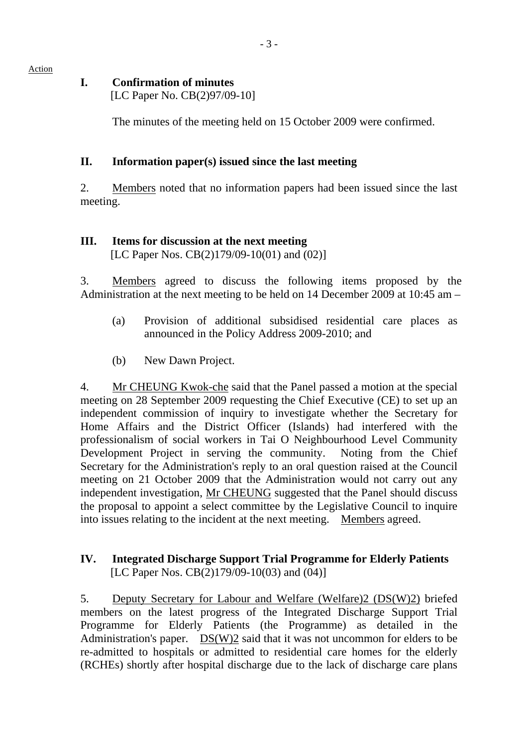#### **I. Confirmation of minutes**

[LC Paper No. CB(2)97/09-10]

The minutes of the meeting held on 15 October 2009 were confirmed.

### **II. Information paper(s) issued since the last meeting**

2. Members noted that no information papers had been issued since the last meeting.

# **III. Items for discussion at the next meeting**

[LC Paper Nos. CB(2)179/09-10(01) and (02)]

3. Members agreed to discuss the following items proposed by the Administration at the next meeting to be held on 14 December 2009 at 10:45 am –

- (a) Provision of additional subsidised residential care places as announced in the Policy Address 2009-2010; and
- (b) New Dawn Project.

4. Mr CHEUNG Kwok-che said that the Panel passed a motion at the special meeting on 28 September 2009 requesting the Chief Executive (CE) to set up an independent commission of inquiry to investigate whether the Secretary for Home Affairs and the District Officer (Islands) had interfered with the professionalism of social workers in Tai O Neighbourhood Level Community Development Project in serving the community. Noting from the Chief Secretary for the Administration's reply to an oral question raised at the Council meeting on 21 October 2009 that the Administration would not carry out any independent investigation, Mr CHEUNG suggested that the Panel should discuss the proposal to appoint a select committee by the Legislative Council to inquire into issues relating to the incident at the next meeting. Members agreed.

#### **IV. Integrated Discharge Support Trial Programme for Elderly Patients**  [LC Paper Nos. CB(2)179/09-10(03) and (04)]

5. Deputy Secretary for Labour and Welfare (Welfare)2 (DS(W)2) briefed members on the latest progress of the Integrated Discharge Support Trial Programme for Elderly Patients (the Programme) as detailed in the Administration's paper. DS(W)2 said that it was not uncommon for elders to be re-admitted to hospitals or admitted to residential care homes for the elderly (RCHEs) shortly after hospital discharge due to the lack of discharge care plans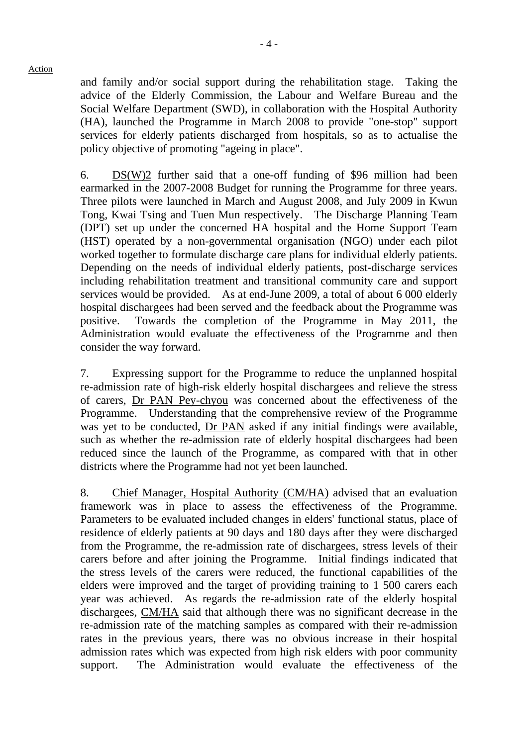and family and/or social support during the rehabilitation stage. Taking the advice of the Elderly Commission, the Labour and Welfare Bureau and the Social Welfare Department (SWD), in collaboration with the Hospital Authority (HA), launched the Programme in March 2008 to provide "one-stop" support services for elderly patients discharged from hospitals, so as to actualise the policy objective of promoting "ageing in place".

6. DS(W)2 further said that a one-off funding of \$96 million had been earmarked in the 2007-2008 Budget for running the Programme for three years. Three pilots were launched in March and August 2008, and July 2009 in Kwun Tong, Kwai Tsing and Tuen Mun respectively. The Discharge Planning Team (DPT) set up under the concerned HA hospital and the Home Support Team (HST) operated by a non-governmental organisation (NGO) under each pilot worked together to formulate discharge care plans for individual elderly patients. Depending on the needs of individual elderly patients, post-discharge services including rehabilitation treatment and transitional community care and support services would be provided. As at end-June 2009, a total of about 6,000 elderly hospital dischargees had been served and the feedback about the Programme was positive. Towards the completion of the Programme in May 2011, the Administration would evaluate the effectiveness of the Programme and then consider the way forward.

7. Expressing support for the Programme to reduce the unplanned hospital re-admission rate of high-risk elderly hospital dischargees and relieve the stress of carers, Dr PAN Pey-chyou was concerned about the effectiveness of the Programme. Understanding that the comprehensive review of the Programme was yet to be conducted, Dr PAN asked if any initial findings were available, such as whether the re-admission rate of elderly hospital dischargees had been reduced since the launch of the Programme, as compared with that in other districts where the Programme had not yet been launched.

8. Chief Manager, Hospital Authority (CM/HA) advised that an evaluation framework was in place to assess the effectiveness of the Programme. Parameters to be evaluated included changes in elders' functional status, place of residence of elderly patients at 90 days and 180 days after they were discharged from the Programme, the re-admission rate of dischargees, stress levels of their carers before and after joining the Programme. Initial findings indicated that the stress levels of the carers were reduced, the functional capabilities of the elders were improved and the target of providing training to 1 500 carers each year was achieved. As regards the re-admission rate of the elderly hospital dischargees, CM/HA said that although there was no significant decrease in the re-admission rate of the matching samples as compared with their re-admission rates in the previous years, there was no obvious increase in their hospital admission rates which was expected from high risk elders with poor community support. The Administration would evaluate the effectiveness of the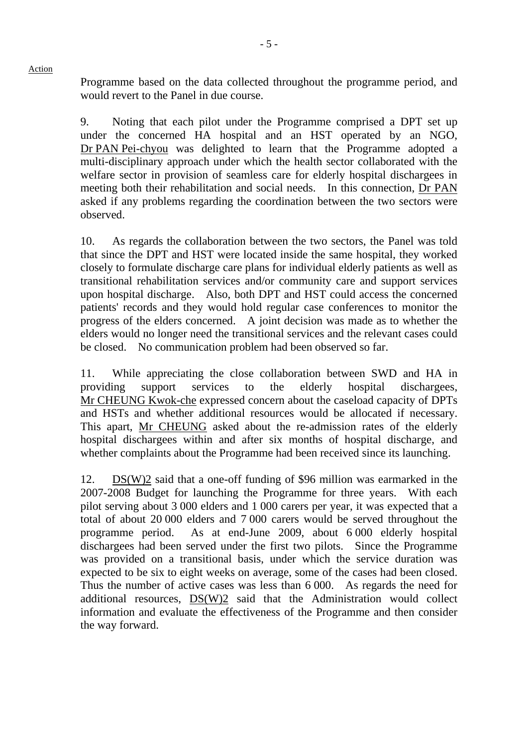Programme based on the data collected throughout the programme period, and would revert to the Panel in due course.

9. Noting that each pilot under the Programme comprised a DPT set up under the concerned HA hospital and an HST operated by an NGO, Dr PAN Pei-chyou was delighted to learn that the Programme adopted a multi-disciplinary approach under which the health sector collaborated with the welfare sector in provision of seamless care for elderly hospital dischargees in meeting both their rehabilitation and social needs. In this connection, Dr PAN asked if any problems regarding the coordination between the two sectors were observed.

10. As regards the collaboration between the two sectors, the Panel was told that since the DPT and HST were located inside the same hospital, they worked closely to formulate discharge care plans for individual elderly patients as well as transitional rehabilitation services and/or community care and support services upon hospital discharge. Also, both DPT and HST could access the concerned patients' records and they would hold regular case conferences to monitor the progress of the elders concerned. A joint decision was made as to whether the elders would no longer need the transitional services and the relevant cases could be closed. No communication problem had been observed so far.

11. While appreciating the close collaboration between SWD and HA in providing support services to the elderly hospital dischargees, Mr CHEUNG Kwok-che expressed concern about the caseload capacity of DPTs and HSTs and whether additional resources would be allocated if necessary. This apart, Mr CHEUNG asked about the re-admission rates of the elderly hospital dischargees within and after six months of hospital discharge, and whether complaints about the Programme had been received since its launching.

12. DS(W)2 said that a one-off funding of \$96 million was earmarked in the 2007-2008 Budget for launching the Programme for three years. With each pilot serving about 3,000 elders and 1,000 carers per year, it was expected that a total of about 20,000 elders and 7,000 carers would be served throughout the programme period. As at end-June 2009, about 6,000 elderly hospital dischargees had been served under the first two pilots. Since the Programme was provided on a transitional basis, under which the service duration was expected to be six to eight weeks on average, some of the cases had been closed. Thus the number of active cases was less than 6,000. As regards the need for additional resources, DS(W)2 said that the Administration would collect information and evaluate the effectiveness of the Programme and then consider the way forward.

Action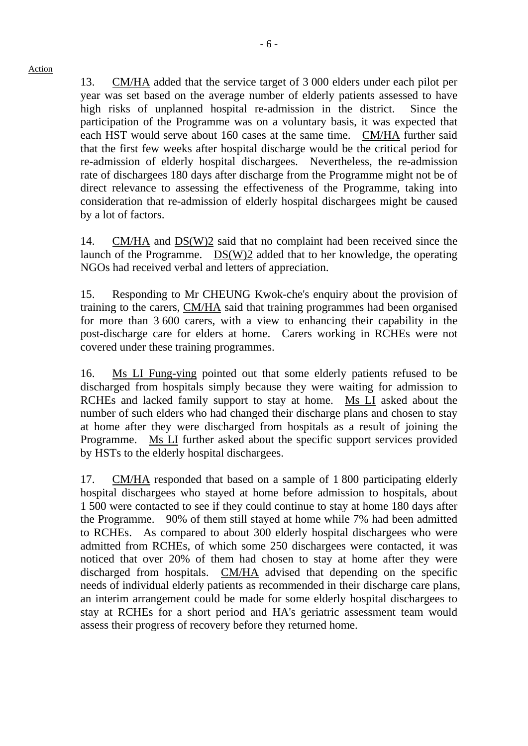13. CM/HA added that the service target of 3,000 elders under each pilot per year was set based on the average number of elderly patients assessed to have high risks of unplanned hospital re-admission in the district. Since the participation of the Programme was on a voluntary basis, it was expected that each HST would serve about 160 cases at the same time. CM/HA further said that the first few weeks after hospital discharge would be the critical period for re-admission of elderly hospital dischargees. Nevertheless, the re-admission rate of dischargees 180 days after discharge from the Programme might not be of direct relevance to assessing the effectiveness of the Programme, taking into consideration that re-admission of elderly hospital dischargees might be caused by a lot of factors.

14. CM/HA and  $DS(W)2$  said that no complaint had been received since the launch of the Programme. DS(W)2 added that to her knowledge, the operating NGOs had received verbal and letters of appreciation.

15. Responding to Mr CHEUNG Kwok-che's enquiry about the provision of training to the carers, CM/HA said that training programmes had been organised for more than 3,600 carers, with a view to enhancing their capability in the post-discharge care for elders at home. Carers working in RCHEs were not covered under these training programmes.

16. Ms LI Fung-ying pointed out that some elderly patients refused to be discharged from hospitals simply because they were waiting for admission to RCHEs and lacked family support to stay at home. Ms LI asked about the number of such elders who had changed their discharge plans and chosen to stay at home after they were discharged from hospitals as a result of joining the Programme. Ms LI further asked about the specific support services provided by HSTs to the elderly hospital dischargees.

17. CM/HA responded that based on a sample of 1,800 participating elderly hospital dischargees who stayed at home before admission to hospitals, about 1,500 were contacted to see if they could continue to stay at home 180 days after the Programme. 90% of them still stayed at home while 7% had been admitted to RCHEs. As compared to about 300 elderly hospital dischargees who were admitted from RCHEs, of which some 250 dischargees were contacted, it was noticed that over 20% of them had chosen to stay at home after they were discharged from hospitals. CM/HA advised that depending on the specific needs of individual elderly patients as recommended in their discharge care plans, an interim arrangement could be made for some elderly hospital dischargees to stay at RCHEs for a short period and HA's geriatric assessment team would assess their progress of recovery before they returned home.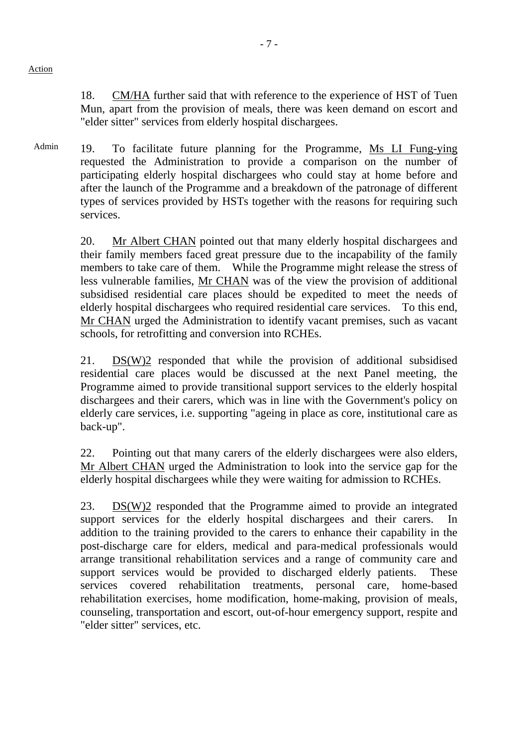18. CM/HA further said that with reference to the experience of HST of Tuen Mun, apart from the provision of meals, there was keen demand on escort and "elder sitter" services from elderly hospital dischargees.

Admin 19. To facilitate future planning for the Programme, Ms LI Fung-ying requested the Administration to provide a comparison on the number of participating elderly hospital dischargees who could stay at home before and after the launch of the Programme and a breakdown of the patronage of different types of services provided by HSTs together with the reasons for requiring such services.

> 20. Mr Albert CHAN pointed out that many elderly hospital dischargees and their family members faced great pressure due to the incapability of the family members to take care of them. While the Programme might release the stress of less vulnerable families, Mr CHAN was of the view the provision of additional subsidised residential care places should be expedited to meet the needs of elderly hospital dischargees who required residential care services. To this end, Mr CHAN urged the Administration to identify vacant premises, such as vacant schools, for retrofitting and conversion into RCHEs.

> 21. DS(W)2 responded that while the provision of additional subsidised residential care places would be discussed at the next Panel meeting, the Programme aimed to provide transitional support services to the elderly hospital dischargees and their carers, which was in line with the Government's policy on elderly care services, i.e. supporting "ageing in place as core, institutional care as back-up".

> 22. Pointing out that many carers of the elderly dischargees were also elders, Mr Albert CHAN urged the Administration to look into the service gap for the elderly hospital dischargees while they were waiting for admission to RCHEs.

> 23. DS(W)2 responded that the Programme aimed to provide an integrated support services for the elderly hospital dischargees and their carers. In addition to the training provided to the carers to enhance their capability in the post-discharge care for elders, medical and para-medical professionals would arrange transitional rehabilitation services and a range of community care and support services would be provided to discharged elderly patients. These services covered rehabilitation treatments, personal care, home-based rehabilitation exercises, home modification, home-making, provision of meals, counseling, transportation and escort, out-of-hour emergency support, respite and "elder sitter" services, etc.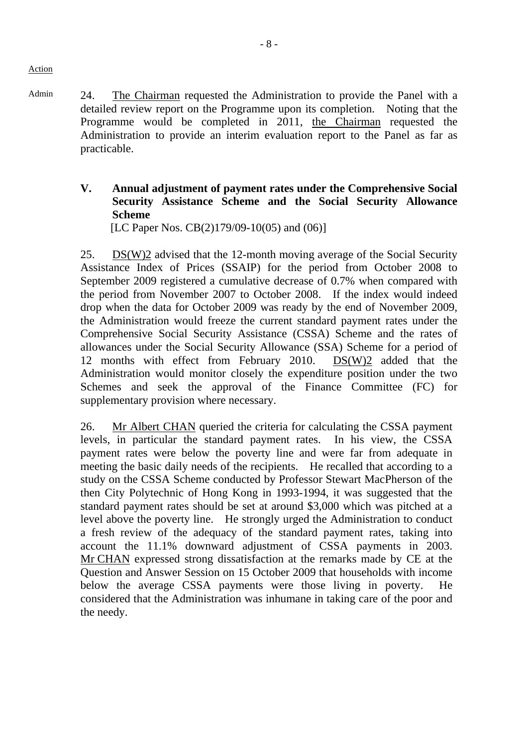- Admin 24. The Chairman requested the Administration to provide the Panel with a detailed review report on the Programme upon its completion. Noting that the Programme would be completed in 2011, the Chairman requested the Administration to provide an interim evaluation report to the Panel as far as practicable.
	- **V. Annual adjustment of payment rates under the Comprehensive Social Security Assistance Scheme and the Social Security Allowance Scheme**

[LC Paper Nos. CB(2)179/09-10(05) and (06)]

25. DS(W)2 advised that the 12-month moving average of the Social Security Assistance Index of Prices (SSAIP) for the period from October 2008 to September 2009 registered a cumulative decrease of 0.7% when compared with the period from November 2007 to October 2008. If the index would indeed drop when the data for October 2009 was ready by the end of November 2009, the Administration would freeze the current standard payment rates under the Comprehensive Social Security Assistance (CSSA) Scheme and the rates of allowances under the Social Security Allowance (SSA) Scheme for a period of 12 months with effect from February 2010. DS(W)2 added that the Administration would monitor closely the expenditure position under the two Schemes and seek the approval of the Finance Committee (FC) for supplementary provision where necessary.

26. Mr Albert CHAN queried the criteria for calculating the CSSA payment levels, in particular the standard payment rates. In his view, the CSSA payment rates were below the poverty line and were far from adequate in meeting the basic daily needs of the recipients. He recalled that according to a study on the CSSA Scheme conducted by Professor Stewart MacPherson of the then City Polytechnic of Hong Kong in 1993-1994, it was suggested that the standard payment rates should be set at around \$3,000 which was pitched at a level above the poverty line. He strongly urged the Administration to conduct a fresh review of the adequacy of the standard payment rates, taking into account the 11.1% downward adjustment of CSSA payments in 2003. Mr CHAN expressed strong dissatisfaction at the remarks made by CE at the Question and Answer Session on 15 October 2009 that households with income below the average CSSA payments were those living in poverty. He considered that the Administration was inhumane in taking care of the poor and the needy.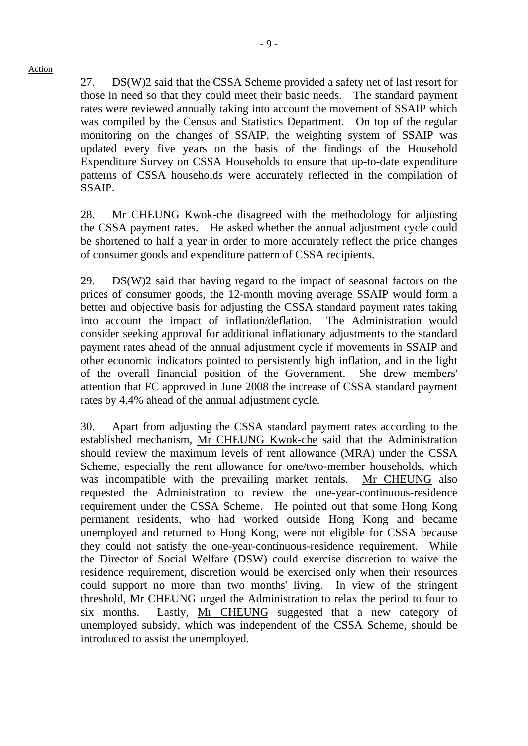27. DS(W)2 said that the CSSA Scheme provided a safety net of last resort for those in need so that they could meet their basic needs. The standard payment rates were reviewed annually taking into account the movement of SSAIP which was compiled by the Census and Statistics Department. On top of the regular monitoring on the changes of SSAIP, the weighting system of SSAIP was updated every five years on the basis of the findings of the Household Expenditure Survey on CSSA Households to ensure that up-to-date expenditure patterns of CSSA households were accurately reflected in the compilation of SSAIP.

28. Mr CHEUNG Kwok-che disagreed with the methodology for adjusting the CSSA payment rates. He asked whether the annual adjustment cycle could be shortened to half a year in order to more accurately reflect the price changes of consumer goods and expenditure pattern of CSSA recipients.

29. DS(W)2 said that having regard to the impact of seasonal factors on the prices of consumer goods, the 12-month moving average SSAIP would form a better and objective basis for adjusting the CSSA standard payment rates taking into account the impact of inflation/deflation. The Administration would consider seeking approval for additional inflationary adjustments to the standard payment rates ahead of the annual adjustment cycle if movements in SSAIP and other economic indicators pointed to persistently high inflation, and in the light of the overall financial position of the Government. She drew members' attention that FC approved in June 2008 the increase of CSSA standard payment rates by 4.4% ahead of the annual adjustment cycle.

30. Apart from adjusting the CSSA standard payment rates according to the established mechanism, Mr CHEUNG Kwok-che said that the Administration should review the maximum levels of rent allowance (MRA) under the CSSA Scheme, especially the rent allowance for one/two-member households, which was incompatible with the prevailing market rentals. Mr CHEUNG also requested the Administration to review the one-year-continuous-residence requirement under the CSSA Scheme. He pointed out that some Hong Kong permanent residents, who had worked outside Hong Kong and became unemployed and returned to Hong Kong, were not eligible for CSSA because they could not satisfy the one-year-continuous-residence requirement. While the Director of Social Welfare (DSW) could exercise discretion to waive the residence requirement, discretion would be exercised only when their resources could support no more than two months' living. In view of the stringent threshold, Mr CHEUNG urged the Administration to relax the period to four to six months. Lastly, Mr CHEUNG suggested that a new category of unemployed subsidy, which was independent of the CSSA Scheme, should be introduced to assist the unemployed.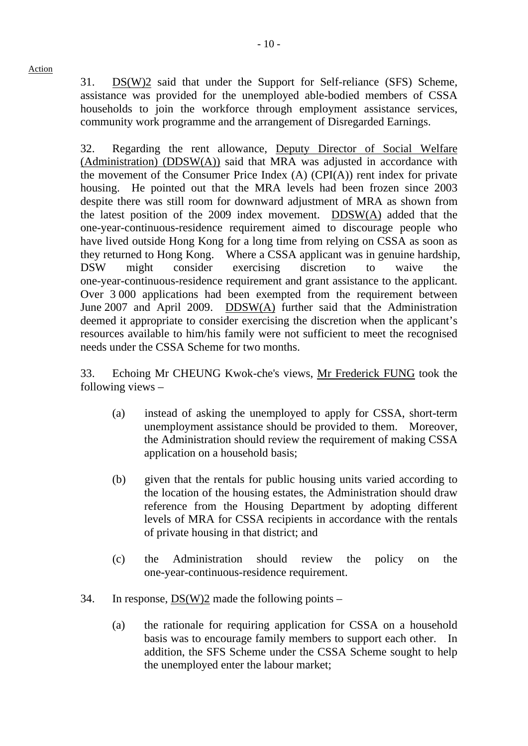31. DS(W)2 said that under the Support for Self-reliance (SFS) Scheme, assistance was provided for the unemployed able-bodied members of CSSA households to join the workforce through employment assistance services, community work programme and the arrangement of Disregarded Earnings.

32. Regarding the rent allowance, Deputy Director of Social Welfare (Administration) (DDSW(A)) said that MRA was adjusted in accordance with the movement of the Consumer Price Index  $(A)$  (CPI $(A)$ ) rent index for private housing. He pointed out that the MRA levels had been frozen since 2003 despite there was still room for downward adjustment of MRA as shown from the latest position of the 2009 index movement. DDSW(A) added that the one-year-continuous-residence requirement aimed to discourage people who have lived outside Hong Kong for a long time from relying on CSSA as soon as they returned to Hong Kong. Where a CSSA applicant was in genuine hardship, DSW might consider exercising discretion to waive the one-year-continuous-residence requirement and grant assistance to the applicant. Over 3,000 applications had been exempted from the requirement between June 2007 and April 2009. DDSW(A) further said that the Administration deemed it appropriate to consider exercising the discretion when the applicant's resources available to him/his family were not sufficient to meet the recognised needs under the CSSA Scheme for two months.

33. Echoing Mr CHEUNG Kwok-che's views, Mr Frederick FUNG took the following views –

- (a) instead of asking the unemployed to apply for CSSA, short-term unemployment assistance should be provided to them. Moreover, the Administration should review the requirement of making CSSA application on a household basis;
- (b) given that the rentals for public housing units varied according to the location of the housing estates, the Administration should draw reference from the Housing Department by adopting different levels of MRA for CSSA recipients in accordance with the rentals of private housing in that district; and
- (c) the Administration should review the policy on the one-year-continuous-residence requirement.
- 34. In response,  $DS(W)2$  made the following points
	- (a) the rationale for requiring application for CSSA on a household basis was to encourage family members to support each other. In addition, the SFS Scheme under the CSSA Scheme sought to help the unemployed enter the labour market;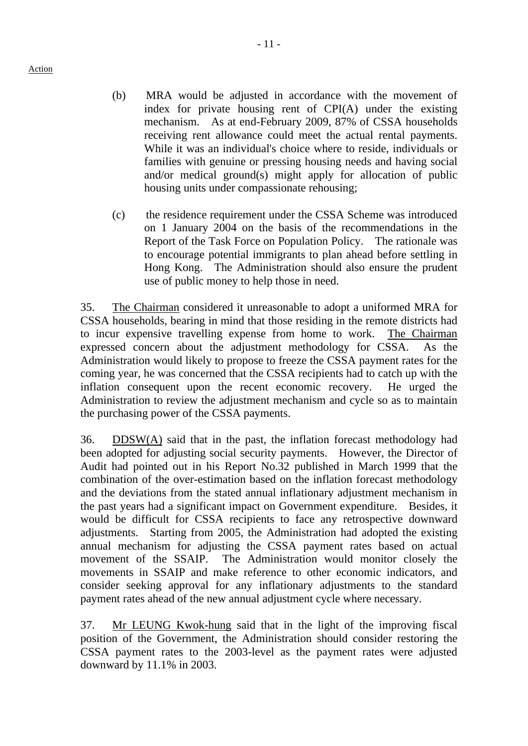- (b) MRA would be adjusted in accordance with the movement of index for private housing rent of CPI(A) under the existing mechanism. As at end-February 2009, 87% of CSSA households receiving rent allowance could meet the actual rental payments. While it was an individual's choice where to reside, individuals or families with genuine or pressing housing needs and having social and/or medical ground(s) might apply for allocation of public housing units under compassionate rehousing;
- (c) the residence requirement under the CSSA Scheme was introduced on 1 January 2004 on the basis of the recommendations in the Report of the Task Force on Population Policy. The rationale was to encourage potential immigrants to plan ahead before settling in Hong Kong. The Administration should also ensure the prudent use of public money to help those in need.

35. The Chairman considered it unreasonable to adopt a uniformed MRA for CSSA households, bearing in mind that those residing in the remote districts had to incur expensive travelling expense from home to work. The Chairman expressed concern about the adjustment methodology for CSSA. As the Administration would likely to propose to freeze the CSSA payment rates for the coming year, he was concerned that the CSSA recipients had to catch up with the inflation consequent upon the recent economic recovery. He urged the Administration to review the adjustment mechanism and cycle so as to maintain the purchasing power of the CSSA payments.

36. DDSW $(A)$  said that in the past, the inflation forecast methodology had been adopted for adjusting social security payments. However, the Director of Audit had pointed out in his Report No.32 published in March 1999 that the combination of the over-estimation based on the inflation forecast methodology and the deviations from the stated annual inflationary adjustment mechanism in the past years had a significant impact on Government expenditure. Besides, it would be difficult for CSSA recipients to face any retrospective downward adjustments. Starting from 2005, the Administration had adopted the existing annual mechanism for adjusting the CSSA payment rates based on actual movement of the SSAIP. The Administration would monitor closely the movements in SSAIP and make reference to other economic indicators, and consider seeking approval for any inflationary adjustments to the standard payment rates ahead of the new annual adjustment cycle where necessary.

37. Mr LEUNG Kwok-hung said that in the light of the improving fiscal position of the Government, the Administration should consider restoring the CSSA payment rates to the 2003-level as the payment rates were adjusted downward by 11.1% in 2003.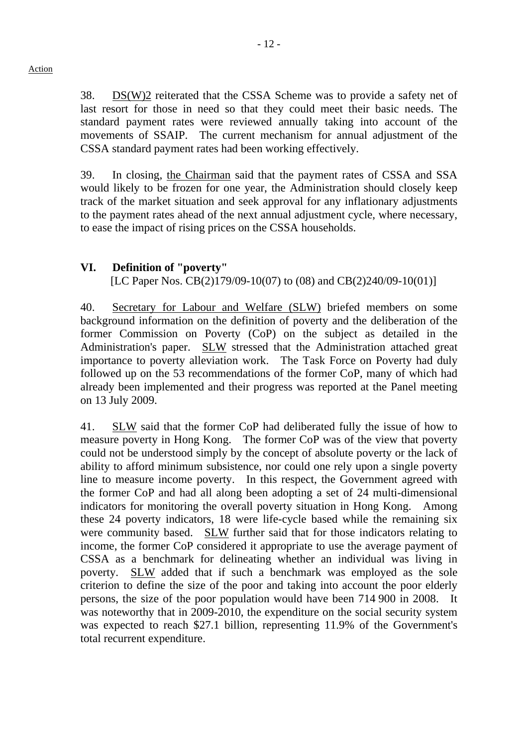38. DS(W)2 reiterated that the CSSA Scheme was to provide a safety net of last resort for those in need so that they could meet their basic needs. The standard payment rates were reviewed annually taking into account of the movements of SSAIP. The current mechanism for annual adjustment of the CSSA standard payment rates had been working effectively.

39. In closing, the Chairman said that the payment rates of CSSA and SSA would likely to be frozen for one year, the Administration should closely keep track of the market situation and seek approval for any inflationary adjustments to the payment rates ahead of the next annual adjustment cycle, where necessary, to ease the impact of rising prices on the CSSA households.

#### **VI. Definition of "poverty"**

[LC Paper Nos. CB(2)179/09-10(07) to (08) and CB(2)240/09-10(01)]

40. Secretary for Labour and Welfare (SLW) briefed members on some background information on the definition of poverty and the deliberation of the former Commission on Poverty (CoP) on the subject as detailed in the Administration's paper. SLW stressed that the Administration attached great importance to poverty alleviation work. The Task Force on Poverty had duly followed up on the 53 recommendations of the former CoP, many of which had already been implemented and their progress was reported at the Panel meeting on 13 July 2009.

41. SLW said that the former CoP had deliberated fully the issue of how to measure poverty in Hong Kong. The former CoP was of the view that poverty could not be understood simply by the concept of absolute poverty or the lack of ability to afford minimum subsistence, nor could one rely upon a single poverty line to measure income poverty. In this respect, the Government agreed with the former CoP and had all along been adopting a set of 24 multi-dimensional indicators for monitoring the overall poverty situation in Hong Kong. Among these 24 poverty indicators, 18 were life-cycle based while the remaining six were community based. SLW further said that for those indicators relating to income, the former CoP considered it appropriate to use the average payment of CSSA as a benchmark for delineating whether an individual was living in poverty. SLW added that if such a benchmark was employed as the sole criterion to define the size of the poor and taking into account the poor elderly persons, the size of the poor population would have been 714,900 in 2008. It was noteworthy that in 2009-2010, the expenditure on the social security system was expected to reach \$27.1 billion, representing 11.9% of the Government's total recurrent expenditure.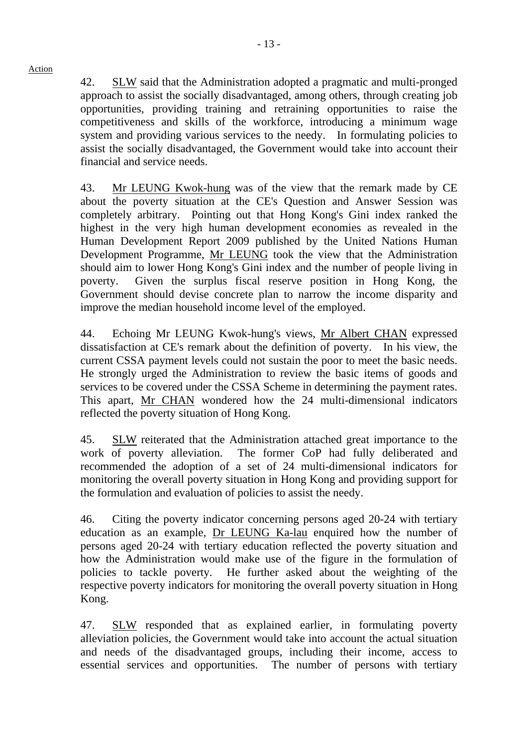42. SLW said that the Administration adopted a pragmatic and multi-pronged approach to assist the socially disadvantaged, among others, through creating job opportunities, providing training and retraining opportunities to raise the competitiveness and skills of the workforce, introducing a minimum wage system and providing various services to the needy. In formulating policies to assist the socially disadvantaged, the Government would take into account their financial and service needs.

43. Mr LEUNG Kwok-hung was of the view that the remark made by CE about the poverty situation at the CE's Question and Answer Session was completely arbitrary. Pointing out that Hong Kong's Gini index ranked the highest in the very high human development economies as revealed in the Human Development Report 2009 published by the United Nations Human Development Programme, Mr LEUNG took the view that the Administration should aim to lower Hong Kong's Gini index and the number of people living in poverty. Given the surplus fiscal reserve position in Hong Kong, the Government should devise concrete plan to narrow the income disparity and improve the median household income level of the employed.

44. Echoing Mr LEUNG Kwok-hung's views, Mr Albert CHAN expressed dissatisfaction at CE's remark about the definition of poverty. In his view, the current CSSA payment levels could not sustain the poor to meet the basic needs. He strongly urged the Administration to review the basic items of goods and services to be covered under the CSSA Scheme in determining the payment rates. This apart, Mr CHAN wondered how the 24 multi-dimensional indicators reflected the poverty situation of Hong Kong.

45. SLW reiterated that the Administration attached great importance to the work of poverty alleviation. The former CoP had fully deliberated and recommended the adoption of a set of 24 multi-dimensional indicators for monitoring the overall poverty situation in Hong Kong and providing support for the formulation and evaluation of policies to assist the needy.

46. Citing the poverty indicator concerning persons aged 20-24 with tertiary education as an example, Dr LEUNG Ka-lau enquired how the number of persons aged 20-24 with tertiary education reflected the poverty situation and how the Administration would make use of the figure in the formulation of policies to tackle poverty. He further asked about the weighting of the respective poverty indicators for monitoring the overall poverty situation in Hong Kong.

47. SLW responded that as explained earlier, in formulating poverty alleviation policies, the Government would take into account the actual situation and needs of the disadvantaged groups, including their income, access to essential services and opportunities. The number of persons with tertiary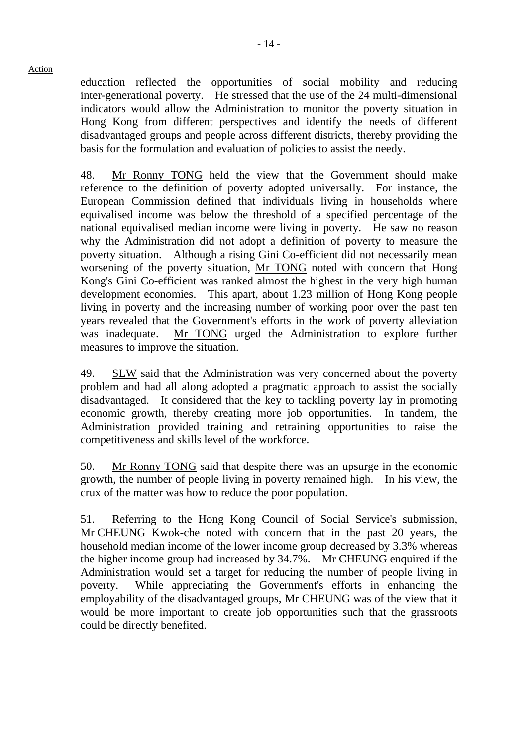education reflected the opportunities of social mobility and reducing inter-generational poverty. He stressed that the use of the 24 multi-dimensional indicators would allow the Administration to monitor the poverty situation in Hong Kong from different perspectives and identify the needs of different disadvantaged groups and people across different districts, thereby providing the basis for the formulation and evaluation of policies to assist the needy.

48. Mr Ronny TONG held the view that the Government should make reference to the definition of poverty adopted universally. For instance, the European Commission defined that individuals living in households where equivalised income was below the threshold of a specified percentage of the national equivalised median income were living in poverty. He saw no reason why the Administration did not adopt a definition of poverty to measure the poverty situation. Although a rising Gini Co-efficient did not necessarily mean worsening of the poverty situation, Mr TONG noted with concern that Hong Kong's Gini Co-efficient was ranked almost the highest in the very high human development economies. This apart, about 1.23 million of Hong Kong people living in poverty and the increasing number of working poor over the past ten years revealed that the Government's efforts in the work of poverty alleviation was inadequate. Mr TONG urged the Administration to explore further measures to improve the situation.

49. SLW said that the Administration was very concerned about the poverty problem and had all along adopted a pragmatic approach to assist the socially disadvantaged. It considered that the key to tackling poverty lay in promoting economic growth, thereby creating more job opportunities. In tandem, the Administration provided training and retraining opportunities to raise the competitiveness and skills level of the workforce.

50. Mr Ronny TONG said that despite there was an upsurge in the economic growth, the number of people living in poverty remained high. In his view, the crux of the matter was how to reduce the poor population.

51. Referring to the Hong Kong Council of Social Service's submission, Mr CHEUNG Kwok-che noted with concern that in the past 20 years, the household median income of the lower income group decreased by 3.3% whereas the higher income group had increased by 34.7%. Mr CHEUNG enquired if the Administration would set a target for reducing the number of people living in poverty. While appreciating the Government's efforts in enhancing the employability of the disadvantaged groups, Mr CHEUNG was of the view that it would be more important to create job opportunities such that the grassroots could be directly benefited.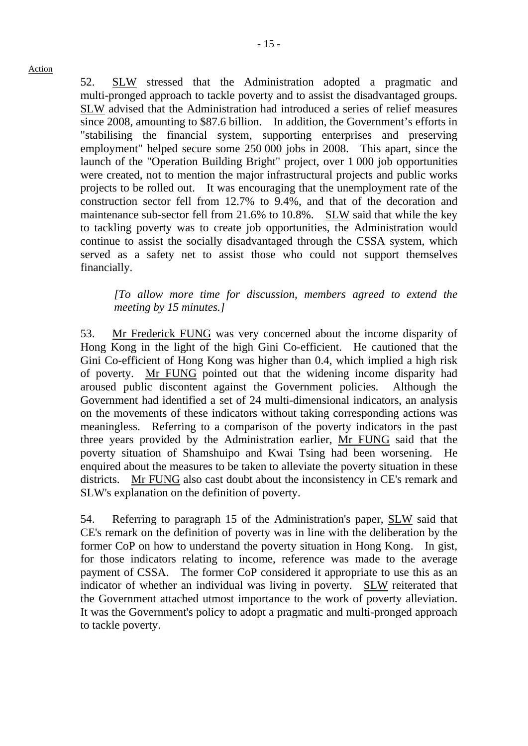52. SLW stressed that the Administration adopted a pragmatic and multi-pronged approach to tackle poverty and to assist the disadvantaged groups. SLW advised that the Administration had introduced a series of relief measures since 2008, amounting to \$87.6 billion. In addition, the Government's efforts in "stabilising the financial system, supporting enterprises and preserving employment" helped secure some 250.000 jobs in 2008. This apart, since the launch of the "Operation Building Bright" project, over 1,000 job opportunities were created, not to mention the major infrastructural projects and public works projects to be rolled out. It was encouraging that the unemployment rate of the construction sector fell from 12.7% to 9.4%, and that of the decoration and maintenance sub-sector fell from 21.6% to 10.8%. SLW said that while the key to tackling poverty was to create job opportunities, the Administration would continue to assist the socially disadvantaged through the CSSA system, which served as a safety net to assist those who could not support themselves financially.

*[To allow more time for discussion, members agreed to extend the meeting by 15 minutes.]* 

53. Mr Frederick FUNG was very concerned about the income disparity of Hong Kong in the light of the high Gini Co-efficient. He cautioned that the Gini Co-efficient of Hong Kong was higher than 0.4, which implied a high risk of poverty. Mr FUNG pointed out that the widening income disparity had aroused public discontent against the Government policies. Although the Government had identified a set of 24 multi-dimensional indicators, an analysis on the movements of these indicators without taking corresponding actions was meaningless. Referring to a comparison of the poverty indicators in the past three years provided by the Administration earlier, Mr FUNG said that the poverty situation of Shamshuipo and Kwai Tsing had been worsening. He enquired about the measures to be taken to alleviate the poverty situation in these districts. Mr FUNG also cast doubt about the inconsistency in CE's remark and SLW's explanation on the definition of poverty.

54. Referring to paragraph 15 of the Administration's paper, SLW said that CE's remark on the definition of poverty was in line with the deliberation by the former CoP on how to understand the poverty situation in Hong Kong. In gist, for those indicators relating to income, reference was made to the average payment of CSSA. The former CoP considered it appropriate to use this as an indicator of whether an individual was living in poverty. SLW reiterated that the Government attached utmost importance to the work of poverty alleviation. It was the Government's policy to adopt a pragmatic and multi-pronged approach to tackle poverty.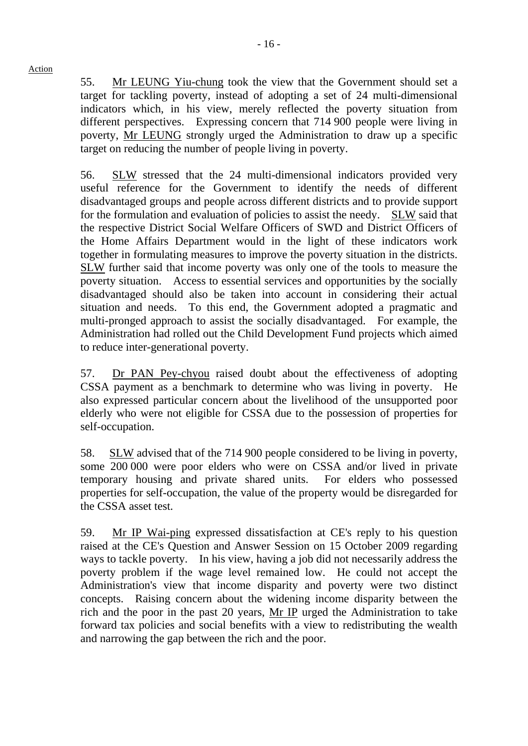55. Mr LEUNG Yiu-chung took the view that the Government should set a target for tackling poverty, instead of adopting a set of 24 multi-dimensional indicators which, in his view, merely reflected the poverty situation from different perspectives. Expressing concern that 714,900 people were living in poverty, Mr LEUNG strongly urged the Administration to draw up a specific target on reducing the number of people living in poverty.

56. SLW stressed that the 24 multi-dimensional indicators provided very useful reference for the Government to identify the needs of different disadvantaged groups and people across different districts and to provide support for the formulation and evaluation of policies to assist the needy. SLW said that the respective District Social Welfare Officers of SWD and District Officers of the Home Affairs Department would in the light of these indicators work together in formulating measures to improve the poverty situation in the districts. SLW further said that income poverty was only one of the tools to measure the poverty situation. Access to essential services and opportunities by the socially disadvantaged should also be taken into account in considering their actual situation and needs. To this end, the Government adopted a pragmatic and multi-pronged approach to assist the socially disadvantaged. For example, the Administration had rolled out the Child Development Fund projects which aimed to reduce inter-generational poverty.

57. Dr PAN Pey-chyou raised doubt about the effectiveness of adopting CSSA payment as a benchmark to determine who was living in poverty. He also expressed particular concern about the livelihood of the unsupported poor elderly who were not eligible for CSSA due to the possession of properties for self-occupation.

58. SLW advised that of the 714,900 people considered to be living in poverty, some 200,000 were poor elders who were on CSSA and/or lived in private temporary housing and private shared units. For elders who possessed properties for self-occupation, the value of the property would be disregarded for the CSSA asset test.

59. Mr IP Wai-ping expressed dissatisfaction at CE's reply to his question raised at the CE's Question and Answer Session on 15 October 2009 regarding ways to tackle poverty. In his view, having a job did not necessarily address the poverty problem if the wage level remained low. He could not accept the Administration's view that income disparity and poverty were two distinct concepts. Raising concern about the widening income disparity between the rich and the poor in the past 20 years, Mr IP urged the Administration to take forward tax policies and social benefits with a view to redistributing the wealth and narrowing the gap between the rich and the poor.